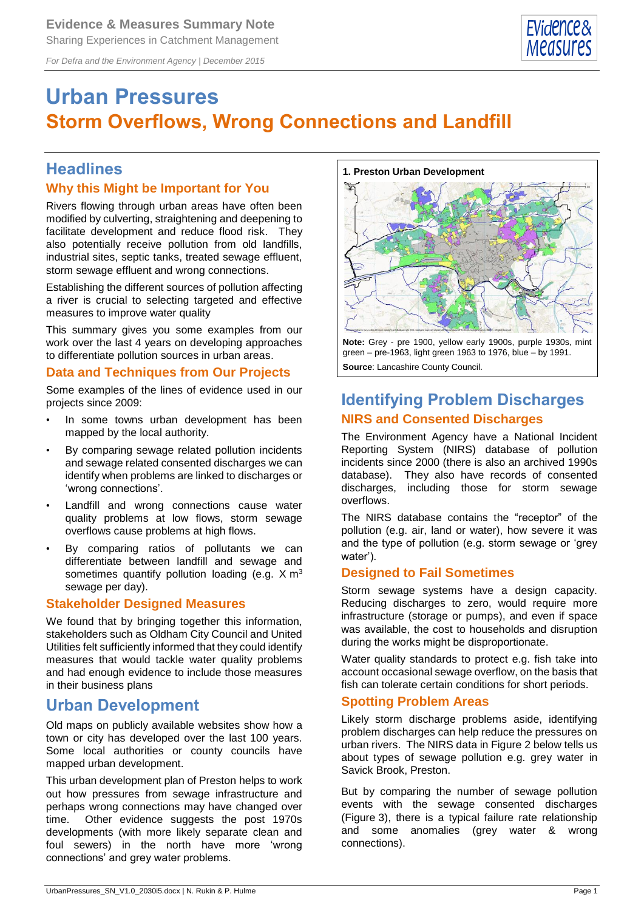*For Defra and the Environment Agency | December 2015*



# **Urban Pressures Storm Overflows, Wrong Connections and Landfill**

### **Headlines**

### **Why this Might be Important for You**

Rivers flowing through urban areas have often been modified by culverting, straightening and deepening to facilitate development and reduce flood risk. They also potentially receive pollution from old landfills, industrial sites, septic tanks, treated sewage effluent, storm sewage effluent and wrong connections.

Establishing the different sources of pollution affecting a river is crucial to selecting targeted and effective measures to improve water quality

This summary gives you some examples from our work over the last 4 years on developing approaches to differentiate pollution sources in urban areas.

#### **Data and Techniques from Our Projects**

Some examples of the lines of evidence used in our projects since 2009:

- In some towns urban development has been mapped by the local authority.
- By comparing sewage related pollution incidents and sewage related consented discharges we can identify when problems are linked to discharges or 'wrong connections'.
- Landfill and wrong connections cause water quality problems at low flows, storm sewage overflows cause problems at high flows.
- By comparing ratios of pollutants we can differentiate between landfill and sewage and sometimes quantify pollution loading (e.g. X m<sup>3</sup> sewage per day).

#### **Stakeholder Designed Measures**

We found that by bringing together this information, stakeholders such as Oldham City Council and United Utilities felt sufficiently informed that they could identify measures that would tackle water quality problems and had enough evidence to include those measures in their business plans

### **Urban Development**

Old maps on publicly available websites show how a town or city has developed over the last 100 years. Some local authorities or county councils have mapped urban development.

This urban development plan of Preston helps to work out how pressures from sewage infrastructure and perhaps wrong connections may have changed over time. Other evidence suggests the post 1970s developments (with more likely separate clean and foul sewers) in the north have more 'wrong connections' and grey water problems.

#### **1. Preston Urban Development**



**Note:** Grey - pre 1900, yellow early 1900s, purple 1930s, mint green – pre-1963, light green 1963 to 1976, blue – by 1991. **Source**: Lancashire County Council.

### **Identifying Problem Discharges NIRS and Consented Discharges**

The Environment Agency have a National Incident Reporting System (NIRS) database of pollution incidents since 2000 (there is also an archived 1990s database). They also have records of consented discharges, including those for storm sewage overflows.

The NIRS database contains the "receptor" of the pollution (e.g. air, land or water), how severe it was and the type of pollution (e.g. storm sewage or 'grey water').

#### **Designed to Fail Sometimes**

Storm sewage systems have a design capacity. Reducing discharges to zero, would require more infrastructure (storage or pumps), and even if space was available, the cost to households and disruption during the works might be disproportionate.

Water quality standards to protect e.g. fish take into account occasional sewage overflow, on the basis that fish can tolerate certain conditions for short periods.

#### **Spotting Problem Areas**

Likely storm discharge problems aside, identifying problem discharges can help reduce the pressures on urban rivers. The NIRS data in Figure 2 below tells us about types of sewage pollution e.g. grey water in Savick Brook, Preston.

But by comparing the number of sewage pollution events with the sewage consented discharges (Figure 3), there is a typical failure rate relationship and some anomalies (grey water & wrong connections).